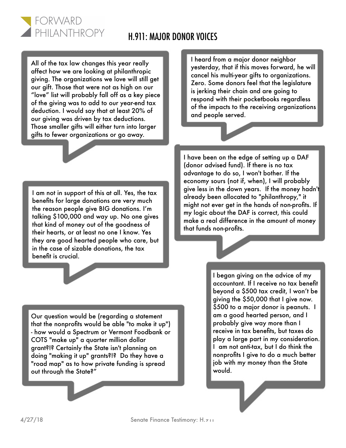## H.911: MAJOR DONOR VOICES

All of the tax law changes this year really affect how we are looking at philanthropic giving. The organizations we love will still get our gift. Those that were not as high on our "love" list will probably fall off as a key piece of the giving was to add to our year-end tax deduction. I would say that at least 20% of our giving was driven by tax deductions. Those smaller gifts will either turn into larger gifts to fewer organizations or go away.

FORWARD

PHILANTHROPY

I heard from a major donor neighbor yesterday, that if this moves forward, he will cancel his multi-year gifts to organizations. Zero. Some donors feel that the legislature is jerking their chain and are going to respond with their pocketbooks regardless of the impacts to the receiving organizations and people served.

I am not in support of this at all. Yes, the tax benefits for large donations are very much the reason people give BIG donations. I'm talking \$100,000 and way up. No one gives that kind of money out of the goodness of their hearts, or at least no one I know. Yes they are good hearted people who care, but in the case of sizable donations, the tax benefit is crucial.

I have been on the edge of setting up a DAF (donor advised fund). If there is no tax advantage to do so, I won't bother. If the economy sours (not if, when), I will probably give less in the down years. If the money hadn't already been allocated to "philanthropy," it might not ever get in the hands of non-profits. If my logic about the DAF is correct, this could make a real difference in the amount of money that funds non-profits.

Our question would be (regarding a statement that the nonprofits would be able "to make it up") - how would a Spectrum or Vermont Foodbank or COTS "make up" a quarter million dollar grant?!? Certainly the State isn't planning on doing "making it up" grants?!? Do they have a "road map" as to how private funding is spread out through the State?"

I began giving on the advice of my accountant. If I receive no tax benefit beyond a \$500 tax credit, I won't be giving the \$50,000 that I give now. \$500 to a major donor is peanuts. I am a good hearted person, and I probably give way more than I receive in tax benefits, but taxes do play a large part in my consideration. I am not anti-tax, but I do think the nonprofits I give to do a much better job with my money than the State would.

4/27/18 Senate Finance Testimony: H.911